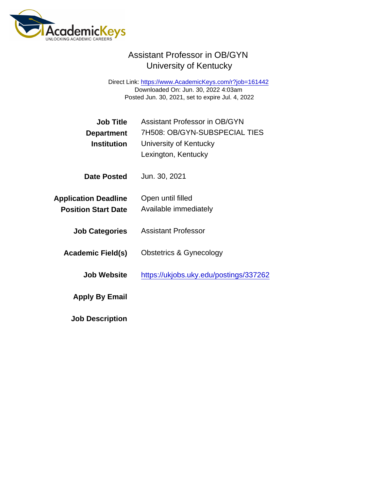## Assistant Professor in OB/GYN University of Kentucky

Direct Link: <https://www.AcademicKeys.com/r?job=161442> Downloaded On: Jun. 30, 2022 4:03am Posted Jun. 30, 2021, set to expire Jul. 4, 2022

| Job Title<br>Department<br>Institution                    | <b>Assistant Professor in OB/GYN</b><br>7H508: OB/GYN-SUBSPECIAL TIES<br>University of Kentucky<br>Lexington, Kentucky |
|-----------------------------------------------------------|------------------------------------------------------------------------------------------------------------------------|
| Date Posted                                               | Jun. 30, 2021                                                                                                          |
| <b>Application Deadline</b><br><b>Position Start Date</b> | Open until filled<br>Available immediately                                                                             |
| <b>Job Categories</b>                                     | <b>Assistant Professor</b>                                                                                             |
| Academic Field(s)                                         | Obstetrics & Gynecology                                                                                                |
| Job Website                                               | https://ukjobs.uky.edu/postings/337262                                                                                 |
| Apply By Email                                            |                                                                                                                        |
| <b>Job Description</b>                                    |                                                                                                                        |